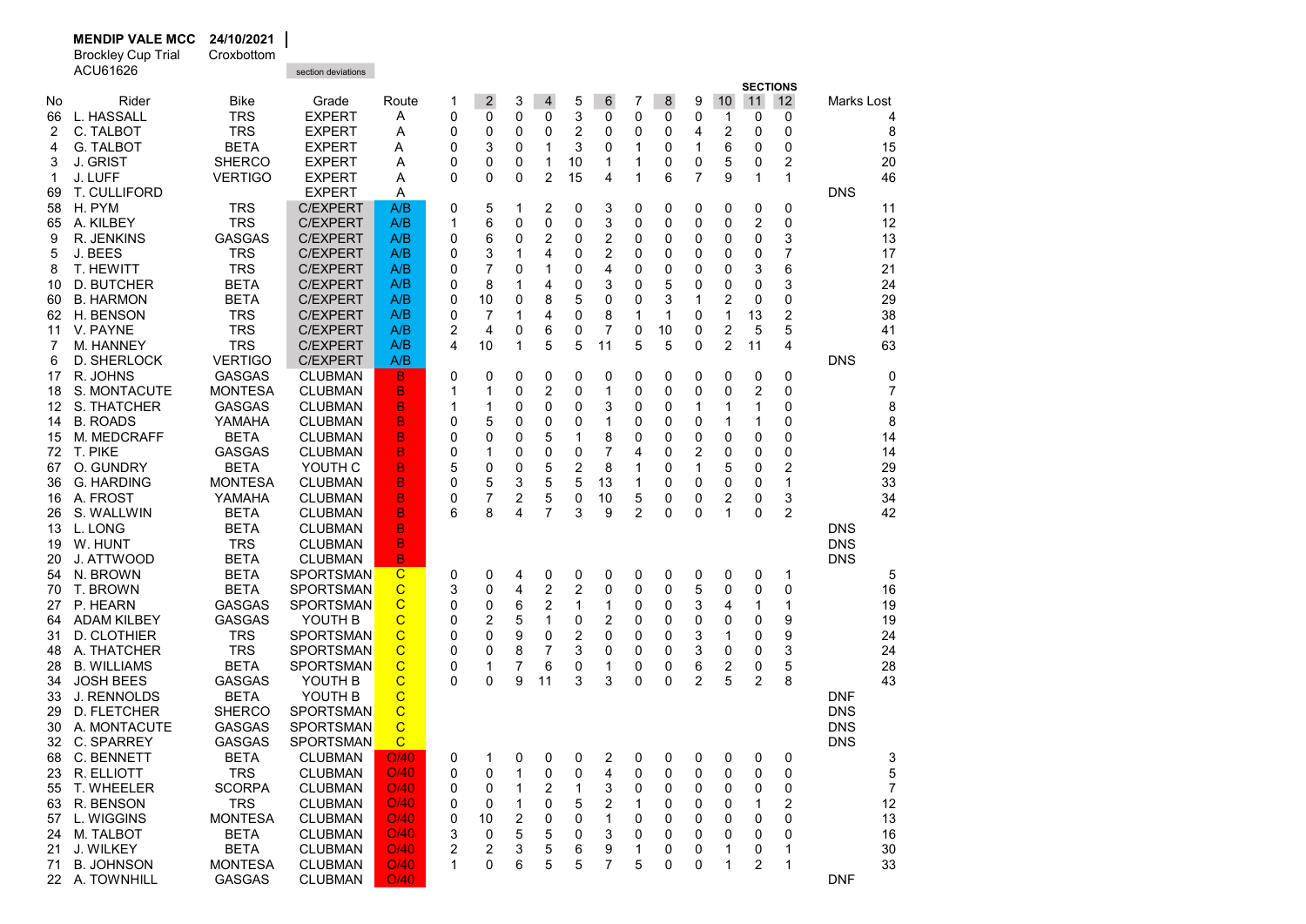|          | <b>Brockley Cup Trial</b><br>ACU61626  | Croxbottom                 | section deviations                   |                  |          |                |        |                |        |        |                |              |                     |                |                 |                         |            |          |
|----------|----------------------------------------|----------------------------|--------------------------------------|------------------|----------|----------------|--------|----------------|--------|--------|----------------|--------------|---------------------|----------------|-----------------|-------------------------|------------|----------|
|          |                                        |                            |                                      |                  |          |                |        |                |        |        |                |              |                     |                | <b>SECTIONS</b> |                         |            |          |
| No       | Rider                                  | Bike                       | Grade                                | Route            | 1        | $\overline{2}$ | 3      | $\overline{4}$ | 5      | 6      | 7              | 8            | 9                   | 10             | 11              | 12                      | Marks Lost |          |
| 66       | L. HASSALL                             | <b>TRS</b>                 | <b>EXPERT</b>                        | A                | 0        | 0              | 0      | 0              | 3      | 0      | 0              | 0            | 0                   | 1              | 0               | 0                       |            | 4        |
| 2        | C. TALBOT                              | <b>TRS</b>                 | EXPERT                               | Α                | 0        | 0              | 0      | 0              | 2      | 0      | 0              | 0            | 4                   | 2              | 0               | 0                       |            | 8        |
| 4        | <b>G. TALBOT</b>                       | <b>BETA</b>                | <b>EXPERT</b>                        | Α                | 0        | 3              | 0      | 1              | 3      | 0      | 1              | 0            | 1                   | 6              | 0               | 0                       |            | 15       |
| 3        | J. GRIST                               | <b>SHERCO</b>              | <b>EXPERT</b>                        | Α                | 0        | 0              | 0      | 1              | 10     | 1      | 1              | 0            | 0                   | 5              | 0               | $\overline{\mathbf{c}}$ |            | 20       |
| 1        | J. LUFF                                | <b>VERTIGO</b>             | <b>EXPERT</b>                        | Α                | $\Omega$ | 0              | 0      | 2              | 15     | 4      | 1              | 6            | 7                   | 9              | 1               | 1                       |            | 46       |
| 69       | T. CULLIFORD                           |                            | <b>EXPERT</b>                        | Α                |          |                |        |                |        |        |                |              |                     |                |                 |                         | <b>DNS</b> |          |
| 58       | H. PYM                                 | <b>TRS</b>                 | <b>C/EXPERT</b>                      | A/B              | 0        | 5              | 1      | 2              | 0      | 3      | 0              | 0            | 0                   | 0              | 0               | 0                       |            | 11       |
| 65       | A. KILBEY                              | <b>TRS</b>                 | <b>C/EXPERT</b>                      | A/B              | 1        | 6              | 0      | 0              | 0      | 3      | 0              | 0            | 0                   | 0              | 2               | 0                       |            | 12       |
| 9        | R. JENKINS                             | <b>GASGAS</b>              | <b>C/EXPERT</b>                      | A/B              | 0        | 6              | 0      | 2              | 0      | 2      | 0              | 0            | 0                   | 0              | 0               | 3                       |            | 13       |
| 5        | J. BEES                                | <b>TRS</b>                 | <b>C/EXPERT</b>                      | A/B              | 0        | 3              | 1      | 4              | 0      | 2      | 0              | 0            | 0                   | 0              | 0               | $\overline{7}$          |            | 17       |
| 8        | <b>T. HEWITT</b>                       | <b>TRS</b>                 | <b>C/EXPERT</b>                      | A/B              | 0        | 7              | 0      | 1              | 0      | 4      | 0              | 0            | 0                   | 0              | 3               | 6                       |            | 21       |
| 10       | D. BUTCHER                             | <b>BETA</b>                | <b>C/EXPERT</b>                      | A/B              | 0        | 8              | 1      | 4              | 0      | 3      | 0              | 5            | 0                   | 0              | 0               | 3                       |            | 24       |
| 60       | <b>B. HARMON</b>                       | <b>BETA</b>                | <b>C/EXPERT</b>                      | A/B              | 0        | 10             | 0      | 8              | 5      | 0      | 0              | 3            | 1                   | 2              | 0               | 0                       |            | 29       |
| 62       | H. BENSON                              | <b>TRS</b>                 | <b>C/EXPERT</b>                      | A/B              | 0        | 7              | 1      | 4              | 0      | 8      | 1              | $\mathbf{1}$ | 0                   | $\mathbf{1}$   | 13              | $\overline{2}$          |            | 38       |
| 11       | V. PAYNE                               | <b>TRS</b>                 | <b>C/EXPERT</b>                      | A/B              | 2        | 4              | 0      | 6              | 0      | 7      | 0              | 10           | 0                   | 2              | 5               | 5                       |            | 41       |
| 7        | M. HANNEY                              | <b>TRS</b>                 | <b>C/EXPERT</b>                      | A/B              | 4        | 10             | 1      | 5              | 5      | 11     | 5              | 5            | 0                   | $\overline{2}$ | 11              | 4                       |            | 63       |
| 6        | D. SHERLOCK                            | <b>VERTIGO</b>             | <b>C/EXPERT</b>                      | A/B              |          |                |        |                |        |        |                |              |                     |                |                 |                         | <b>DNS</b> |          |
| 17       | R. JOHNS                               | <b>GASGAS</b>              | <b>CLUBMAN</b>                       | B                | 0        | 0              | 0      | 0              | 0      | 0      | 0              | 0            | 0                   | 0              | 0               | 0                       |            | 0        |
| 18       | S. MONTACUTE                           | <b>MONTESA</b>             | CLUBMAN                              | B                | 1        | 1              | 0      | 2              | 0      | 1      | 0              | 0            | 0                   | 0              | 2               | 0                       |            | 7        |
| 12       | S. THATCHER                            | <b>GASGAS</b>              | CLUBMAN                              | B                | 1        | 1              | 0      | 0              | 0      | 3      | 0              | 0            | 1                   | 1              | 1               | 0                       |            | 8        |
| 14       | <b>B. ROADS</b>                        | YAMAHA                     | CLUBMAN                              | в                | 0        | 5              | 0      | 0              | 0      | 1      | 0              | 0            | 0                   | 1              | 1               | 0                       |            | 8        |
| 15       | M. MEDCRAFF                            | <b>BETA</b>                | CLUBMAN                              | B                | 0        | 0              | 0      | 5              | 1      | 8      | 0              | 0            | 0                   | 0              | 0               | 0                       |            | 14       |
| 72       | T. PIKE                                | <b>GASGAS</b>              | <b>CLUBMAN</b>                       | B                | 0        | 1              | 0      | 0              | 0      | 7      | 4              | 0            | 2                   | 0              | 0               | 0                       |            | 14       |
| 67       | O. GUNDRY                              | BETA                       | YOUTH C                              | в                | 5        | 0              | 0      | 5              | 2      | 8      | 1              | 0            | 1                   | 5              | 0               | $\overline{2}$          |            | 29       |
| 36       | <b>G. HARDING</b>                      | <b>MONTESA</b>             | CLUBMAN                              | в                | 0        | 5              | 3      | 5              | 5      | 13     | 1              | 0            | 0                   | 0              | 0               | 1                       |            | 33       |
| 16       | A. FROST                               | YAMAHA                     | <b>CLUBMAN</b>                       | В                | 0        | 7              | 2      | 5              | 0      | 10     | 5              | 0            | 0                   | 2              | 0               | 3                       |            | 34       |
| 26       | S. WALLWIN                             | BETA                       | CLUBMAN                              | B                | 6        | 8              | 4      | 7              | 3      | 9      | $\overline{2}$ | 0            | 0                   | 1              | $\mathbf 0$     | $\overline{2}$          |            | 42       |
| 13       | L. LONG                                | BETA                       | CLUBMAN                              | B                |          |                |        |                |        |        |                |              |                     |                |                 |                         | <b>DNS</b> |          |
| 19       | W. HUNT                                | <b>TRS</b>                 | CLUBMAN                              | B                |          |                |        |                |        |        |                |              |                     |                |                 |                         | <b>DNS</b> |          |
| 20       | J. ATTWOOD                             | <b>BETA</b>                | CLUBMAN                              | B                |          |                |        |                |        |        |                |              |                     |                |                 |                         | <b>DNS</b> |          |
| 54       | N. BROWN                               | <b>BETA</b>                | <b>SPORTSMAN</b>                     | $\mathbf C$      | 0        | 0              | 4      | 0              | 0      | 0      | 0              | 0            | 0                   | 0              | 0               | 1                       |            | 5        |
| 70       | T. BROWN                               | <b>BETA</b>                | <b>SPORTSMAN</b>                     | С                | 3        | 0              | 4      | 2              | 2      | 0      | 0              | 0            | 5                   | 0              | 0               | 0                       |            | 16       |
| 27       | P. HEARN                               | <b>GASGAS</b>              | <b>SPORTSMAN</b>                     | C                | 0        | 0              | 6      | $\overline{2}$ | 1      | 1      | 0              | 0            | 3                   | 4              | 1               | 1                       |            | 19       |
| 64       | <b>ADAM KILBEY</b>                     | <b>GASGAS</b>              | YOUTH B                              | C                | 0        | $\overline{2}$ | 5      | $\mathbf{1}$   | 0      | 2      | 0              | 0            | 0                   | 0              | 0               | 9                       |            | 19       |
| 31       | D. CLOTHIER<br>A. THATCHER             | <b>TRS</b><br><b>TRS</b>   | <b>SPORTSMAN</b><br><b>SPORTSMAN</b> | С<br>$\mathbf C$ | 0        | 0              | 9<br>8 | 0<br>7         | 2<br>3 | 0      | 0              | 0            | 3                   | 1<br>0         | 0               | 9                       |            | 24<br>24 |
| 48       | <b>B. WILLIAMS</b>                     | <b>BETA</b>                | <b>SPORTSMAN</b>                     | C                | 0        | 0              | 7      |                |        | 0      | 0              | 0            | 3                   |                | 0               | 3                       |            |          |
| 28       |                                        | <b>GASGAS</b>              |                                      | С                | 0<br>0   | 1<br>0         | 9      | 6<br>11        | 0<br>3 | 1<br>3 | 0<br>0         | 0<br>0       | 6<br>$\overline{2}$ | 2<br>5         | 0<br>2          | 5<br>8                  |            | 28<br>43 |
| 34       | <b>JOSH BEES</b><br><b>J. RENNOLDS</b> |                            | YOUTH B<br>YOUTH B                   | C                |          |                |        |                |        |        |                |              |                     |                |                 |                         | <b>DNF</b> |          |
| 33<br>29 | D. FLETCHER                            | <b>BETA</b>                | <b>SPORTSMAN</b>                     | C                |          |                |        |                |        |        |                |              |                     |                |                 |                         | <b>DNS</b> |          |
|          |                                        | <b>SHERCO</b>              | <b>SPORTSMAN</b>                     | C                |          |                |        |                |        |        |                |              |                     |                |                 |                         | <b>DNS</b> |          |
| 30       | A. MONTACUTE                           | GASGAS                     |                                      |                  |          |                |        |                |        |        |                |              |                     |                |                 |                         |            |          |
|          | 32 C. SPARREY                          | GASGAS                     | SPORTSMAN                            | $\mathbf{C}$     |          |                |        |                |        |        |                |              |                     |                |                 |                         | <b>DNS</b> |          |
|          | 68 C. BENNETT                          | <b>BETA</b><br><b>TRS</b>  | <b>CLUBMAN</b>                       | O/40<br>O/40     | 0        | 1              | 0      | 0              | 0      | 2      | 0              | 0            | 0                   | 0              | 0               | 0                       |            | 3        |
|          | 23 R. ELLIOTT<br>55 T. WHEELER         | <b>SCORPA</b>              | <b>CLUBMAN</b><br><b>CLUBMAN</b>     | O/40             | 0        | 0              | 1<br>1 | 0<br>2         | 0      | 4      | 0              | 0            | 0                   | 0              | 0               | 0                       |            | 5<br>7   |
|          |                                        |                            | <b>CLUBMAN</b>                       | O/40             | 0        | 0              |        |                | 1      | 3      | 0              | 0            | 0                   | 0              | 0               | 0                       |            |          |
| 63       | R. BENSON                              | <b>TRS</b>                 |                                      | O/40             | 0        | 0              | 1      | 0              | 5      | 2<br>1 | 1              | 0            | 0                   | 0              | 1               | 2                       |            | 12       |
| 57       | L. WIGGINS                             | <b>MONTESA</b>             | <b>CLUBMAN</b>                       |                  | 0        | 10             | 2      | 0              | 0      |        | 0              | 0            | 0                   | 0              | 0               | 0                       |            | 13       |
| 24       | M. TALBOT<br>J. WILKEY                 | <b>BETA</b><br><b>BETA</b> | <b>CLUBMAN</b><br><b>CLUBMAN</b>     | O/40<br>O/40     | 3<br>2   | 0              | 5<br>3 | 5              | 0      | 3      | 0              | 0            | 0                   | 0              | 0               | 0<br>1                  |            | 16<br>30 |
| 21       | <b>B. JOHNSON</b>                      | <b>MONTESA</b>             | <b>CLUBMAN</b>                       | O/40             | 1        | 2<br>0         | 6      | 5<br>5         | 6<br>5 | 9<br>7 | 1<br>5         | 0<br>0       | 0<br>0              | 1<br>1         | 0<br>2          | 1                       |            | 33       |
| 71       | 22 A. TOWNHILL                         | GASGAS                     | <b>CLUBMAN</b>                       | O/40             |          |                |        |                |        |        |                |              |                     |                |                 |                         | <b>DNF</b> |          |
|          |                                        |                            |                                      |                  |          |                |        |                |        |        |                |              |                     |                |                 |                         |            |          |

MENDIP VALE MCC 24/10/2021